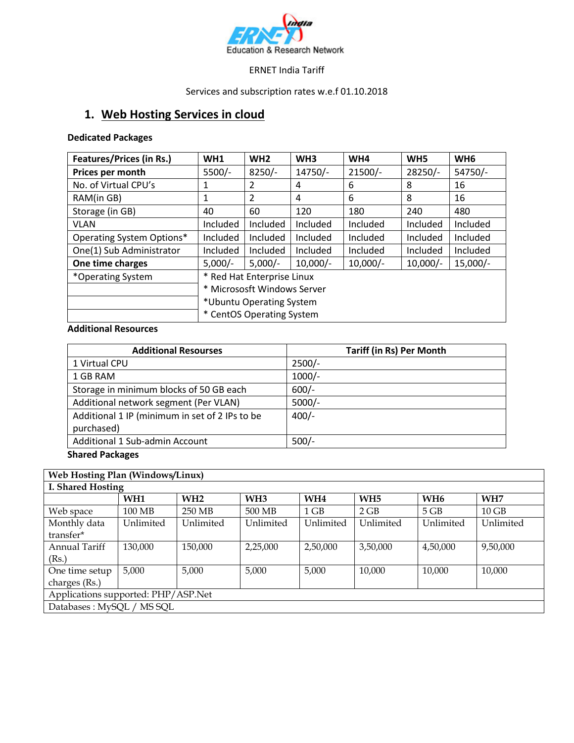

#### ERNET India Tariff

Services and subscription rates w.e.f 01.10.2018

# **1. Web Hosting Services in cloud**

**Dedicated Packages**

| <b>Features/Prices (in Rs.)</b>  | WH <sub>1</sub>                                                  | WH2            | WH <sub>3</sub> | WH4       | WH <sub>5</sub> | WH <sub>6</sub> |
|----------------------------------|------------------------------------------------------------------|----------------|-----------------|-----------|-----------------|-----------------|
| Prices per month                 | 5500/-                                                           | $8250/-$       | 14750/-         | $21500/-$ | 28250/-         | 54750/-         |
| No. of Virtual CPU's             | 1                                                                | 2              | 4               | 6         | 8               | 16              |
| RAM(in GB)                       | 1                                                                | $\overline{2}$ | 4               | 6         | 8               | 16              |
| Storage (in GB)                  | 40                                                               | 60             | 120             | 180       | 240             | 480             |
| <b>VLAN</b>                      | <b>Included</b>                                                  | Included       | Included        | Included  | Included        | Included        |
| <b>Operating System Options*</b> | Included                                                         | Included       | Included        | Included  | Included        | Included        |
| One(1) Sub Administrator         | Included                                                         | Included       | Included        | Included  | Included        | Included        |
| One time charges                 | $10,000/-$<br>$5,000/-$<br>$5,000/-$<br>$10,000/-$<br>$10,000/-$ |                | $15,000/-$      |           |                 |                 |
| *Operating System                | * Red Hat Enterprise Linux                                       |                |                 |           |                 |                 |
|                                  | * Micrososft Windows Server                                      |                |                 |           |                 |                 |
|                                  | *Ubuntu Operating System                                         |                |                 |           |                 |                 |
|                                  | * CentOS Operating System                                        |                |                 |           |                 |                 |

### **Additional Resources**

| <b>Tariff (in Rs) Per Month</b> |  |  |  |
|---------------------------------|--|--|--|
| $2500/-$                        |  |  |  |
| $1000/-$                        |  |  |  |
| $600/-$                         |  |  |  |
| $5000/-$                        |  |  |  |
| $400/-$                         |  |  |  |
|                                 |  |  |  |
| $500/-$                         |  |  |  |
|                                 |  |  |  |

#### **Shared Packages**

| Web Hosting Plan (Windows/Linux)    |                 |                 |                 |                 |                 |                 |           |
|-------------------------------------|-----------------|-----------------|-----------------|-----------------|-----------------|-----------------|-----------|
| I. Shared Hosting                   |                 |                 |                 |                 |                 |                 |           |
|                                     | WH <sub>1</sub> | WH <sub>2</sub> | WH <sub>3</sub> | WH <sub>4</sub> | WH <sub>5</sub> | WH <sub>6</sub> | WH7       |
| Web space                           | 100 MB          | 250 MB          | 500 MB          | $1$ GB          | 2 GB            | $5$ GB          | $10$ GB   |
| Monthly data<br>transfer*           | Unlimited       | Unlimited       | Unlimited       | Unlimited       | Unlimited       | Unlimited       | Unlimited |
| Annual Tariff                       | 130,000         | 150,000         | 2,25,000        | 2,50,000        | 3,50,000        | 4,50,000        | 9,50,000  |
| (Rs.)                               |                 |                 |                 |                 |                 |                 |           |
| One time setup                      | 5,000           | 5,000           | 5,000           | 5,000           | 10,000          | 10,000          | 10,000    |
| charges (Rs.)                       |                 |                 |                 |                 |                 |                 |           |
| Applications supported: PHP/ASP.Net |                 |                 |                 |                 |                 |                 |           |
| Databases: MySQL / MS SQL           |                 |                 |                 |                 |                 |                 |           |